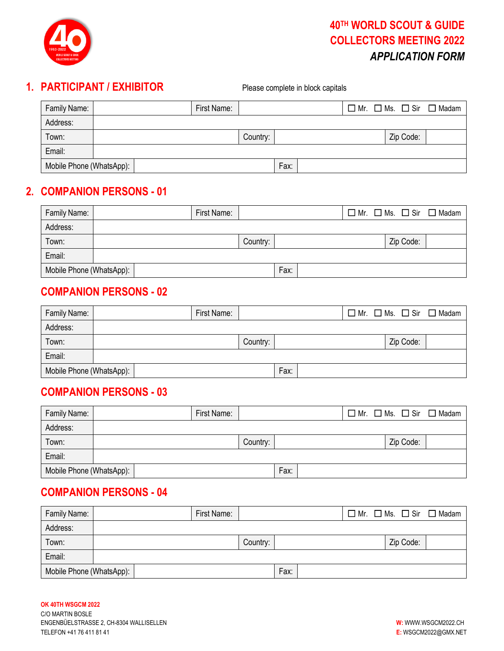

# **1. PARTICIPANT / EXHIBITOR** Please complete in block capitals

| Family Name:             |  | First Name: |          |      |  |           | $\Box$ Mr. $\Box$ Ms. $\Box$ Sir $\Box$ Madam |
|--------------------------|--|-------------|----------|------|--|-----------|-----------------------------------------------|
| Address:                 |  |             |          |      |  |           |                                               |
| Town:                    |  |             | Country: |      |  | Zip Code: |                                               |
| Email:                   |  |             |          |      |  |           |                                               |
| Mobile Phone (WhatsApp): |  |             |          | Fax: |  |           |                                               |

# **2. COMPANION PERSONS - 01**

| Family Name:             | First Name: |          |      | $\Box$ Mr. $\Box$ Ms. $\Box$ Sir $\Box$ Madam |  |
|--------------------------|-------------|----------|------|-----------------------------------------------|--|
| Address:                 |             |          |      |                                               |  |
| Town:                    |             | Country: |      | Zip Code:                                     |  |
| Email:                   |             |          |      |                                               |  |
| Mobile Phone (WhatsApp): |             |          | Fax: |                                               |  |

#### **COMPANION PERSONS - 02**

| Family Name:             |  | First Name: |          |      |  |           | $\Box$ Mr. $\Box$ Ms. $\Box$ Sir $\Box$ Madam |
|--------------------------|--|-------------|----------|------|--|-----------|-----------------------------------------------|
| Address:                 |  |             |          |      |  |           |                                               |
| Town:                    |  |             | Country: |      |  | Zip Code: |                                               |
| Email:                   |  |             |          |      |  |           |                                               |
| Mobile Phone (WhatsApp): |  |             |          | Fax: |  |           |                                               |

## **COMPANION PERSONS - 03**

| Family Name:             |  | First Name: |          |      |  |           | $\Box$ Mr. $\Box$ Ms. $\Box$ Sir $\Box$ Madam |
|--------------------------|--|-------------|----------|------|--|-----------|-----------------------------------------------|
| Address:                 |  |             |          |      |  |           |                                               |
| Town:                    |  |             | Country: |      |  | Zip Code: |                                               |
| Email:                   |  |             |          |      |  |           |                                               |
| Mobile Phone (WhatsApp): |  |             |          | Fax: |  |           |                                               |

# **COMPANION PERSONS - 04**

| Family Name:             |  | First Name: |          |      |  |           | $\Box$ Mr. $\Box$ Ms. $\Box$ Sir $\Box$ Madam |
|--------------------------|--|-------------|----------|------|--|-----------|-----------------------------------------------|
| Address:                 |  |             |          |      |  |           |                                               |
| Town:                    |  |             | Country: |      |  | Zip Code: |                                               |
| Email:                   |  |             |          |      |  |           |                                               |
| Mobile Phone (WhatsApp): |  |             |          | Fax: |  |           |                                               |

#### **OK 40TH WSGCM 2022**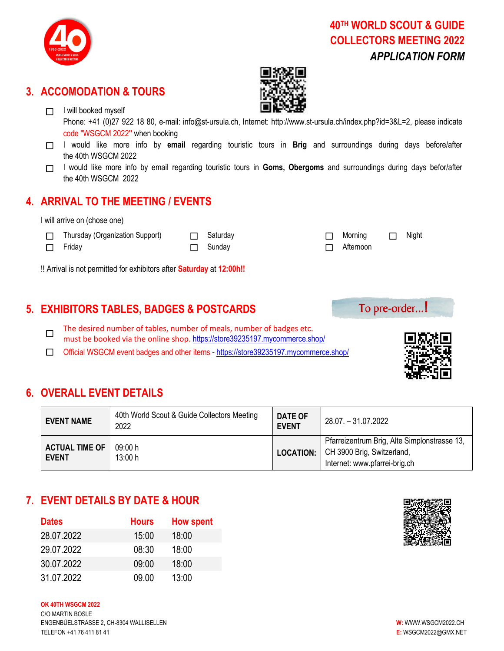

## **3. ACCOMODATION & TOURS**

□ I will booked myself



Phone: +41 (0)27 922 18 80, e-mail: [info@st-ursula.ch,](mailto:info@st-ursula.ch) Internet: [http://www.st-ursula.ch/index.php?id=3&L=2,](http://www.st-ursula.ch/index.php?id=3&L=2) please indicate code "WSGCM 2022**"** when booking

- □ I would like more info by email regarding touristic tours in Brig and surroundings during days before/after the 40th WSGCM 2022
- □ I would like more info by email regarding touristic tours in **Goms, Obergoms** and surroundings during days befor/after the 40th WSGCM 2022

#### **4. ARRIVAL TO THE MEETING / EVENTS**

I will arrive on (chose one)

☐ Thursday (Organization Support) ☐ Saturday ☐ Morning ☐ Night

☐ Friday ☐ Sunday ☐ Afternoon

!! Arrival is not permitted for exhibitors after **Saturday** at **12:00h!!**

## **5. EXHIBITORS TABLES, BADGES & POSTCARDS**

☐ The desired number of tables, number of meals, number of badges etc. must be booked via the online shop. <https://store39235197.mycommerce.shop/>

☐ Official WSGCM event badges and other items - <https://store39235197.mycommerce.shop/>

To pre-order...!

## **6. OVERALL EVENT DETAILS**

| <b>EVENT NAME</b>                     | 40th World Scout & Guide Collectors Meeting<br>2022 | DATE OF<br><b>EVENT</b> | 28.07. - 31.07.2022                                                                                         |
|---------------------------------------|-----------------------------------------------------|-------------------------|-------------------------------------------------------------------------------------------------------------|
| <b>ACTUAL TIME OF</b><br><b>EVENT</b> | 09:00 h<br>13:00 h                                  | <b>LOCATION:</b>        | Pfarreizentrum Brig, Alte Simplonstrasse 13,<br>CH 3900 Brig, Switzerland,<br>Internet: www.pfarrei-brig.ch |

## **7. EVENT DETAILS BY DATE & HOUR**

| <b>Dates</b> | <b>Hours</b> | <b>How spent</b> |
|--------------|--------------|------------------|
| 28.07.2022   | 15:00        | 18:00            |
| 29.07.2022   | 08:30        | 18:00            |
| 30.07.2022   | 09:00        | 18:00            |
| 31.07.2022   | 09.00        | 13:00            |

#### **OK 40TH WSGCM 2022**

C/O MARTIN BOSLE ENGENBÜELSTRASSE 2, CH-8304 WALLISELLEN **W:** WWW.WSGCM2022.CH TELEFON +41 76 411 81 41 **E:** WSGCM2022@GMX.NET